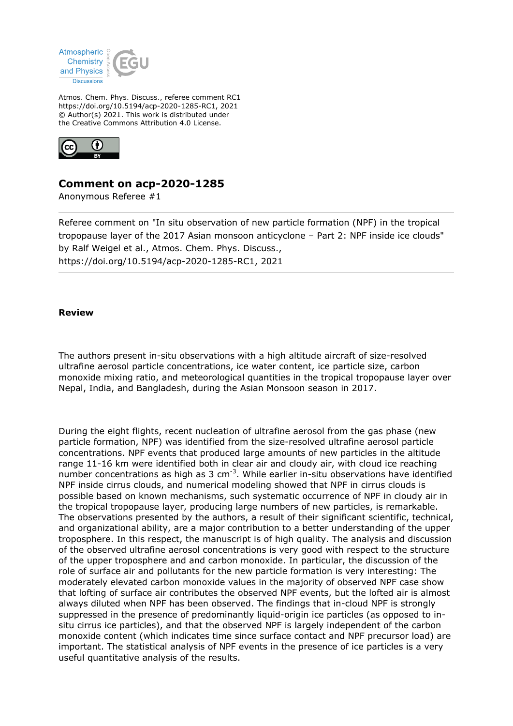

Atmos. Chem. Phys. Discuss., referee comment RC1 https://doi.org/10.5194/acp-2020-1285-RC1, 2021 © Author(s) 2021. This work is distributed under the Creative Commons Attribution 4.0 License.



## **Comment on acp-2020-1285**

Anonymous Referee #1

Referee comment on "In situ observation of new particle formation (NPF) in the tropical tropopause layer of the 2017 Asian monsoon anticyclone – Part 2: NPF inside ice clouds" by Ralf Weigel et al., Atmos. Chem. Phys. Discuss., https://doi.org/10.5194/acp-2020-1285-RC1, 2021

## **Review**

The authors present in-situ observations with a high altitude aircraft of size-resolved ultrafine aerosol particle concentrations, ice water content, ice particle size, carbon monoxide mixing ratio, and meteorological quantities in the tropical tropopause layer over Nepal, India, and Bangladesh, during the Asian Monsoon season in 2017.

During the eight flights, recent nucleation of ultrafine aerosol from the gas phase (new particle formation, NPF) was identified from the size-resolved ultrafine aerosol particle concentrations. NPF events that produced large amounts of new particles in the altitude range 11-16 km were identified both in clear air and cloudy air, with cloud ice reaching number concentrations as high as 3  $cm^{-3}$ . While earlier in-situ observations have identified NPF inside cirrus clouds, and numerical modeling showed that NPF in cirrus clouds is possible based on known mechanisms, such systematic occurrence of NPF in cloudy air in the tropical tropopause layer, producing large numbers of new particles, is remarkable. The observations presented by the authors, a result of their significant scientific, technical, and organizational ability, are a major contribution to a better understanding of the upper troposphere. In this respect, the manuscript is of high quality. The analysis and discussion of the observed ultrafine aerosol concentrations is very good with respect to the structure of the upper troposphere and and carbon monoxide. In particular, the discussion of the role of surface air and pollutants for the new particle formation is very interesting: The moderately elevated carbon monoxide values in the majority of observed NPF case show that lofting of surface air contributes the observed NPF events, but the lofted air is almost always diluted when NPF has been observed. The findings that in-cloud NPF is strongly suppressed in the presence of predominantly liquid-origin ice particles (as opposed to insitu cirrus ice particles), and that the observed NPF is largely independent of the carbon monoxide content (which indicates time since surface contact and NPF precursor load) are important. The statistical analysis of NPF events in the presence of ice particles is a very useful quantitative analysis of the results.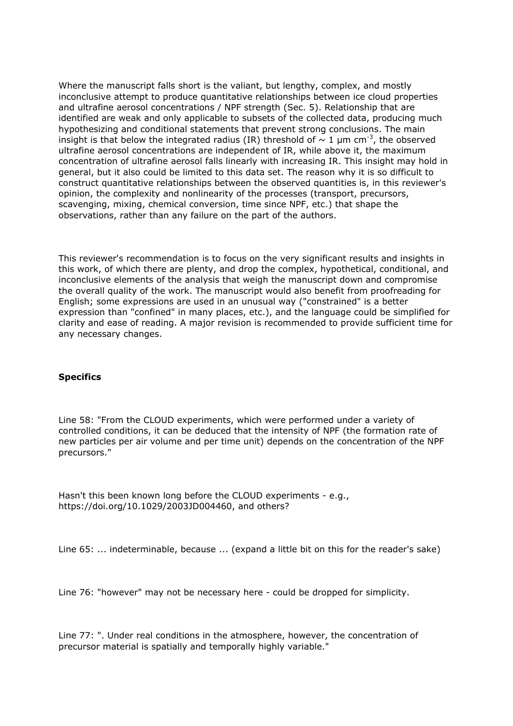Where the manuscript falls short is the valiant, but lengthy, complex, and mostly inconclusive attempt to produce quantitative relationships between ice cloud properties and ultrafine aerosol concentrations / NPF strength (Sec. 5). Relationship that are identified are weak and only applicable to subsets of the collected data, producing much hypothesizing and conditional statements that prevent strong conclusions. The main insight is that below the integrated radius (IR) threshold of  $\sim 1$  µm cm<sup>-3</sup>, the observed ultrafine aerosol concentrations are independent of IR, while above it, the maximum concentration of ultrafine aerosol falls linearly with increasing IR. This insight may hold in general, but it also could be limited to this data set. The reason why it is so difficult to construct quantitative relationships between the observed quantities is, in this reviewer's opinion, the complexity and nonlinearity of the processes (transport, precursors, scavenging, mixing, chemical conversion, time since NPF, etc.) that shape the observations, rather than any failure on the part of the authors.

This reviewer's recommendation is to focus on the very significant results and insights in this work, of which there are plenty, and drop the complex, hypothetical, conditional, and inconclusive elements of the analysis that weigh the manuscript down and compromise the overall quality of the work. The manuscript would also benefit from proofreading for English; some expressions are used in an unusual way ("constrained" is a better expression than "confined" in many places, etc.), and the language could be simplified for clarity and ease of reading. A major revision is recommended to provide sufficient time for any necessary changes.

## **Specifics**

Line 58: "From the CLOUD experiments, which were performed under a variety of controlled conditions, it can be deduced that the intensity of NPF (the formation rate of new particles per air volume and per time unit) depends on the concentration of the NPF precursors."

Hasn't this been known long before the CLOUD experiments - e.g., https://doi.org/10.1029/2003JD004460, and others?

Line 65: ... indeterminable, because ... (expand a little bit on this for the reader's sake)

Line 76: "however" may not be necessary here - could be dropped for simplicity.

Line 77: ". Under real conditions in the atmosphere, however, the concentration of precursor material is spatially and temporally highly variable."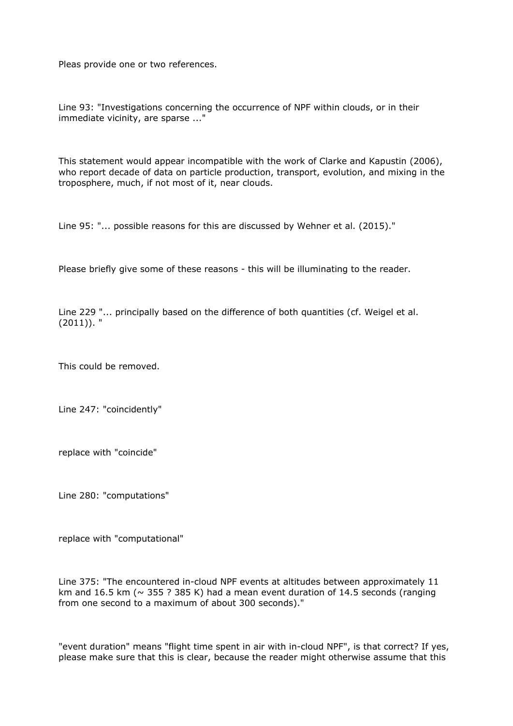Pleas provide one or two references.

Line 93: "Investigations concerning the occurrence of NPF within clouds, or in their immediate vicinity, are sparse ..."

This statement would appear incompatible with the work of Clarke and Kapustin (2006), who report decade of data on particle production, transport, evolution, and mixing in the troposphere, much, if not most of it, near clouds.

Line 95: "... possible reasons for this are discussed by Wehner et al. (2015)."

Please briefly give some of these reasons - this will be illuminating to the reader.

Line 229 "... principally based on the difference of both quantities (cf. Weigel et al.  $(2011)$ ). "

This could be removed.

Line 247: "coincidently"

replace with "coincide"

Line 280: "computations"

replace with "computational"

Line 375: "The encountered in-cloud NPF events at altitudes between approximately 11 km and 16.5 km ( $\sim$  355 ? 385 K) had a mean event duration of 14.5 seconds (ranging from one second to a maximum of about 300 seconds)."

"event duration" means "flight time spent in air with in-cloud NPF", is that correct? If yes, please make sure that this is clear, because the reader might otherwise assume that this